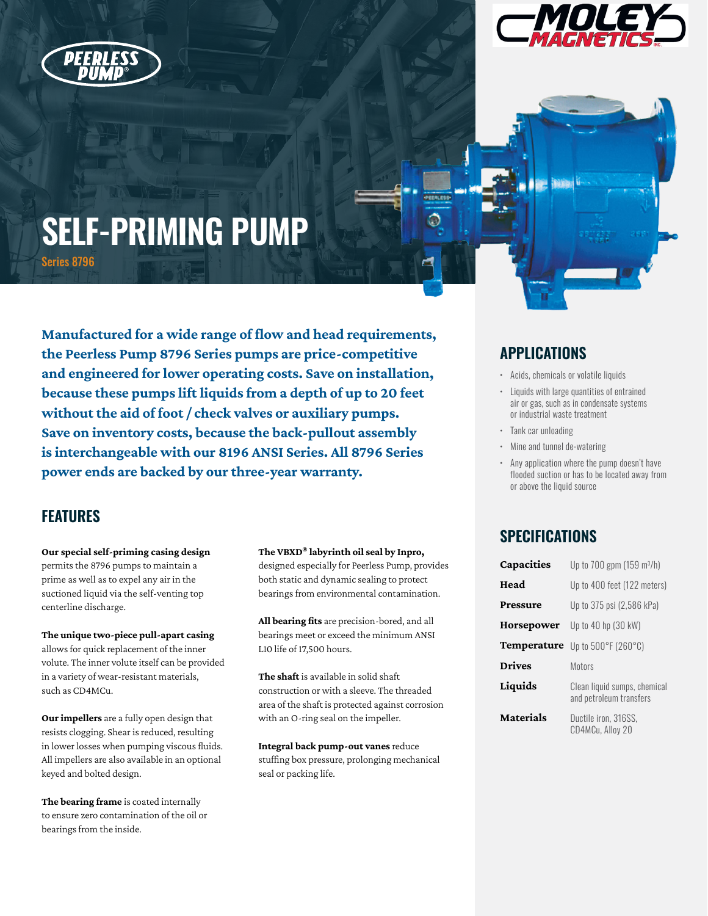



# **SELF-PRIMING PUMP** Series 8796

**Manufactured for a wide range of flow and head requirements, the Peerless Pump 8796 Series pumps are price-competitive and engineered for lower operating costs. Save on installation, because these pumps lift liquids from a depth of up to 20 feet without the aid of foot / check valves or auxiliary pumps. Save on inventory costs, because the back-pullout assembly is interchangeable with our 8196 ANSI Series. All 8796 Series power ends are backed by our three-year warranty.**

# **FEATURES**

**Our special self-priming casing design**  permits the 8796 pumps to maintain a prime as well as to expel any air in the suctioned liquid via the self-venting top centerline discharge.

**The unique two-piece pull-apart casing**  allows for quick replacement of the inner volute. The inner volute itself can be provided in a variety of wear-resistant materials, such as CD4MCu.

**Our impellers** are a fully open design that resists clogging. Shear is reduced, resulting in lower losses when pumping viscous fluids. All impellers are also available in an optional keyed and bolted design.

**The bearing frame** is coated internally to ensure zero contamination of the oil or bearings from the inside.

**The VBXD® labyrinth oil seal by Inpro,**  designed especially for Peerless Pump, provides both static and dynamic sealing to protect bearings from environmental contamination.

**All bearing fits** are precision-bored, and all bearings meet or exceed the minimum ANSI L10 life of 17,500 hours.

**The shaft** is available in solid shaft construction or with a sleeve. The threaded area of the shaft is protected against corrosion with an O-ring seal on the impeller.

**Integral back pump-out vanes** reduce stuffing box pressure, prolonging mechanical seal or packing life.

# **APPLICATIONS**

- Acids, chemicals or volatile liquids
- Liquids with large quantities of entrained air or gas, such as in condensate systems or industrial waste treatment
- Tank car unloading
- Mine and tunnel de-watering
- Any application where the pump doesn't have flooded suction or has to be located away from or above the liquid source

# **SPECIFICATIONS**

| Capacities       | Up to 700 gpm $(159 \text{ m}^3/h)$                     |
|------------------|---------------------------------------------------------|
| Head             | Up to 400 feet (122 meters)                             |
| Pressure         | Up to 375 psi (2,586 kPa)                               |
| Horsepower       | Up to 40 hp (30 kW)                                     |
| Temperature      | Up to 500°F (260°C)                                     |
| <b>Drives</b>    | Motors                                                  |
| Liquids          | Clean liquid sumps, chemical<br>and petroleum transfers |
| <b>Materials</b> | Ductile iron, 316SS,<br>CD4MCu, Alloy 20                |